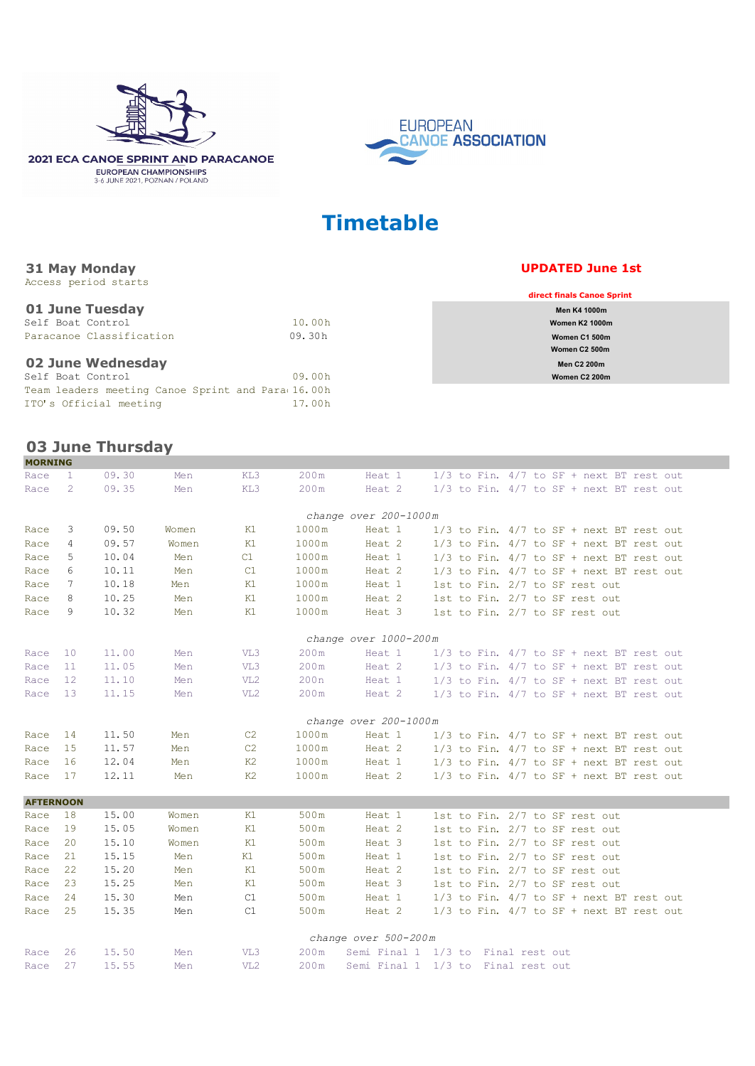





**EUROPEAN** 

## **Timetable**

## **May Monday UPDATED June 1st**

| woodd portou deur co                              |        |                            |
|---------------------------------------------------|--------|----------------------------|
|                                                   |        | direct finals Canoe Sprint |
| 01 June Tuesday                                   |        | <b>Men K4 1000m</b>        |
| Self Boat Control                                 | 10.00h | <b>Women K2 1000m</b>      |
| Paracanoe Classification                          | 09.30h | Women C1 500m              |
|                                                   |        | Women C <sub>2</sub> 500m  |
| 02 June Wednesday                                 |        | <b>Men C2 200m</b>         |
| Self Boat Control                                 | 09.00h | Women C2 200m              |
| Team leaders meeting Canoe Sprint and Para 16.00h |        |                            |
| ITO's Official meeting                            | 17.00h |                            |
|                                                   |        |                            |

## **03 June Thursday**

**31**

Access period starts

| <b>PIURNING</b>  |               |       |       |                 |       |                                    |  |                                              |
|------------------|---------------|-------|-------|-----------------|-------|------------------------------------|--|----------------------------------------------|
| Race             | $\mathbf{1}$  | 09.30 | Men   | KL3             | 200m  | Heat 1                             |  | $1/3$ to Fin. $4/7$ to SF + next BT rest out |
| Race             | $\mathcal{L}$ | 09.35 | Men   | KL3             | 200m  | Heat 2                             |  | $1/3$ to Fin. $4/7$ to SF + next BT rest out |
|                  |               |       |       |                 |       |                                    |  |                                              |
|                  |               |       |       |                 |       | change over 200-1000m              |  |                                              |
| Race             | 3             | 09.50 | Women | K1              | 1000m | Heat 1                             |  | $1/3$ to Fin. $4/7$ to SF + next BT rest out |
| Race             | 4             | 09.57 | Women | K1              | 1000m | Heat 2                             |  | $1/3$ to Fin. $4/7$ to SF + next BT rest out |
| Race             | 5             | 10.04 | Men   | C1              | 1000m | Heat 1                             |  | $1/3$ to Fin. $4/7$ to SF + next BT rest out |
| Race             | 6             | 10.11 | Men   | C1              | 1000m | Heat 2                             |  | $1/3$ to Fin. $4/7$ to SF + next BT rest out |
| Race             | 7             | 10.18 | Men   | K1              | 1000m | Heat 1                             |  | 1st to Fin. 2/7 to SF rest out               |
| Race             | 8             | 10.25 | Men   | K1              | 1000m | Heat 2                             |  | 1st to Fin. 2/7 to SF rest out               |
| Race             | 9             | 10.32 | Men   | K1              | 1000m | Heat 3                             |  | 1st to Fin. 2/7 to SF rest out               |
|                  |               |       |       |                 |       | change over 1000-200m              |  |                                              |
| Race             | 10            | 11.00 | Men   | VL3             | 200m  | Heat 1                             |  | $1/3$ to Fin. $4/7$ to SF + next BT rest out |
| Race             | 11            | 11.05 | Men   | VL3             | 200m  | Heat 2                             |  | $1/3$ to Fin. $4/7$ to SF + next BT rest out |
| Race             | 12            | 11.10 | Men   | VL <sub>2</sub> | 200 n | Heat 1                             |  | $1/3$ to Fin. $4/7$ to SF + next BT rest out |
| Race             | 13            | 11.15 | Men   | VL2             | 200m  | Heat 2                             |  | $1/3$ to Fin. $4/7$ to SF + next BT rest out |
|                  |               |       |       |                 |       |                                    |  |                                              |
|                  |               |       |       |                 |       | change over 200-1000m              |  |                                              |
| Race             | 14            | 11.50 | Men   | C <sub>2</sub>  | 1000m | Heat 1                             |  | $1/3$ to Fin. $4/7$ to SF + next BT rest out |
| Race             | 15            | 11.57 | Men   | C <sub>2</sub>  | 1000m | Heat 2                             |  | $1/3$ to Fin. $4/7$ to SF + next BT rest out |
| Race             | 16            | 12.04 | Men   | K2              | 1000m | Heat 1                             |  | $1/3$ to Fin. $4/7$ to SF + next BT rest out |
| Race             | 17            | 12.11 | Men   | K <sub>2</sub>  | 1000m | Heat 2                             |  | $1/3$ to Fin. $4/7$ to SF + next BT rest out |
| <b>AFTERNOON</b> |               |       |       |                 |       |                                    |  |                                              |
| Race             | 18            | 15.00 | Women | K1              | 500m  | Heat 1                             |  | 1st to Fin. 2/7 to SF rest out               |
| Race             | 19            | 15.05 | Women | K1              | 500m  | Heat 2                             |  | 1st to Fin. 2/7 to SF rest out               |
| Race             | 20            | 15.10 | Women | K1              | 500m  | Heat 3                             |  | 1st to Fin. 2/7 to SF rest out               |
| Race             | 21            | 15.15 | Men   | K1              | 500m  | Heat 1                             |  | 1st to Fin. 2/7 to SF rest out               |
| Race             | 22            | 15.20 | Men   | K1              | 500m  | Heat 2                             |  | 1st to Fin. 2/7 to SF rest out               |
| Race             | 23            | 15.25 | Men   | K1              | 500m  | Heat 3                             |  | 1st to Fin. 2/7 to SF rest out               |
| Race             | 2.4           | 15.30 | Men   | C1              | 500m  | Heat 1                             |  | $1/3$ to Fin. $4/7$ to SF + next BT rest out |
| Race             | 25            | 15.35 | Men   | C1              | 500m  | Heat 2                             |  | $1/3$ to Fin. $4/7$ to SF + next BT rest out |
|                  |               |       |       |                 |       | change over 500-200m               |  |                                              |
| Race             | 26            | 15.50 | Men   | VL3             | 200m  | Semi Final 1 1/3 to Final rest out |  |                                              |
| Race             | 27            | 15.55 | Men   | VL <sub>2</sub> | 200m  | Semi Final 1 1/3 to Final rest out |  |                                              |
|                  |               |       |       |                 |       |                                    |  |                                              |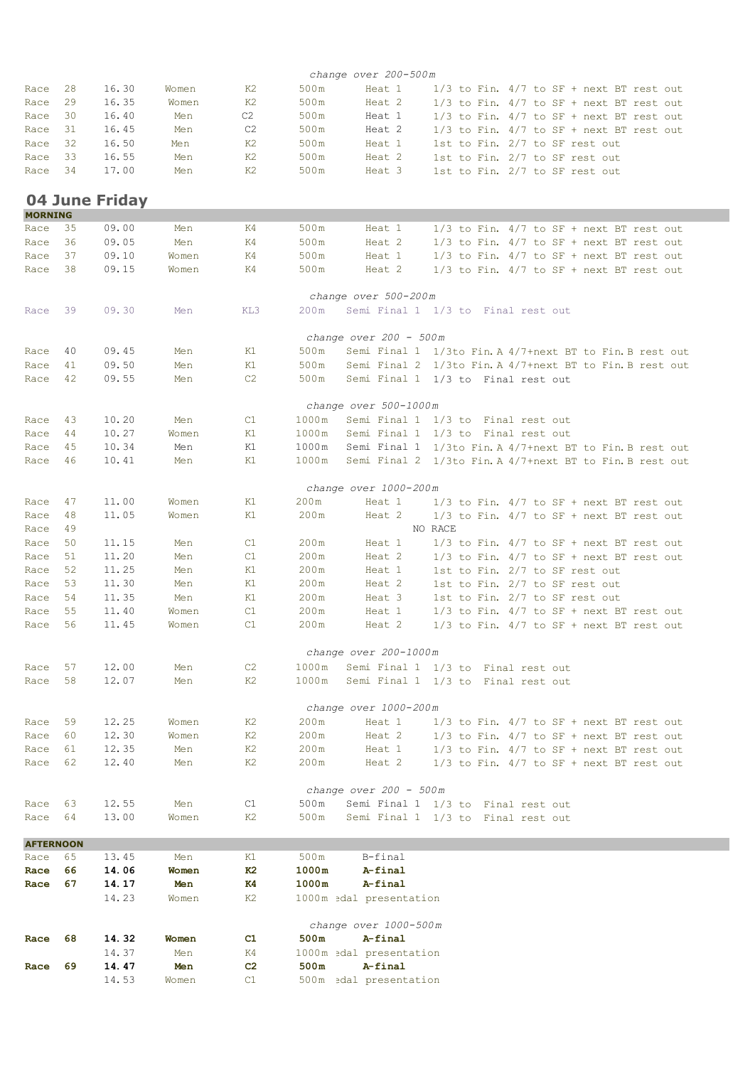|                  |          |                |              |                |               | change over 200-500m      |                                                          |
|------------------|----------|----------------|--------------|----------------|---------------|---------------------------|----------------------------------------------------------|
| Race             | 28       | 16.30          | Women        | K2             | 500m          | Heat 1                    | $1/3$ to Fin. $4/7$ to SF + next BT rest out             |
| Race             | 29       | 16.35          | Women        | K2             | 500m          | Heat 2                    | $1/3$ to Fin. $4/7$ to SF + next BT rest out             |
| Race             | 30       | 16.40          | Men          | C2             | 500m          | Heat 1                    | $1/3$ to Fin. $4/7$ to SF + next BT rest out             |
| Race             | 31       | 16.45          | Men          | C2             | 500m          | Heat 2                    | $1/3$ to Fin. $4/7$ to SF + next BT rest out             |
| Race             | 32       | 16.50          | Men          | K2             | 500m          | Heat 1                    | 1st to Fin. 2/7 to SF rest out                           |
| Race             | 33       | 16.55          | Men          | K2             | 500m          | Heat 2                    | 1st to Fin. 2/7 to SF rest out                           |
| Race             | 34       | 17.00          | Men          | K2             | 500m          | Heat 3                    | 1st to Fin. 2/7 to SF rest out                           |
| <b>MORNING</b>   |          | 04 June Friday |              |                |               |                           |                                                          |
| Race             | 35       | 09.00          | Men          | K4             | 500m          | Heat 1                    | $1/3$ to Fin. $4/7$ to SF + next BT rest out             |
| Race             | 36       | 09.05          | Men          | K4             | 500m          | Heat 2                    | $1/3$ to Fin. $4/7$ to SF + next BT rest out             |
| Race             | 37       | 09.10          | Women        | K4             | 500m          | Heat 1                    | $1/3$ to Fin. $4/7$ to SF + next BT rest out             |
| Race             | 38       | 09.15          | Women        | K4             | 500m          | Heat 2                    | $1/3$ to Fin. $4/7$ to SF + next BT rest out             |
|                  |          |                |              |                |               | change over 500-200m      |                                                          |
| Race             | -39      | 09.30          | Men          | KL3            | 200m          |                           | Semi Final 1 1/3 to Final rest out                       |
|                  |          |                |              |                |               | change over 200 - 500m    |                                                          |
| Race             | 40       | 09.45          | Men          | K1             | 500m          |                           | Semi Final 1 1/3to Fin. A 4/7+next BT to Fin. B rest out |
| Race             | 41       | 09.50          | Men          | K1             | 500m          |                           | Semi Final 2 1/3to Fin. A 4/7+next BT to Fin. B rest out |
| Race             | 42       | 09.55          | Men          | C <sub>2</sub> | 500m          |                           | Semi Final 1 1/3 to Final rest out                       |
|                  |          |                |              |                |               | change over 500-1000m     |                                                          |
| Race             | 43       | 10.20          | Men          | C1             | 1000m         |                           | Semi Final 1 1/3 to Final rest out                       |
| Race             | 44       | 10.27          | Women        | K1             | 1000m         |                           | Semi Final 1 1/3 to Final rest out                       |
| Race             | 45       | 10.34          | Men          | K1             | 1000m         |                           | Semi Final 1 1/3to Fin. A 4/7+next BT to Fin. B rest out |
| Race             | 46       | 10.41          | Men          | K1             | 1000m         |                           | Semi Final 2 1/3to Fin. A 4/7+next BT to Fin. B rest out |
|                  |          |                |              |                |               | change over 1000-200m     |                                                          |
| Race             | 47       | 11.00          | Women        | K1             | 200m          | Heat 1                    | $1/3$ to Fin. $4/7$ to SF + next BT rest out             |
| Race<br>Race     | 48<br>49 | 11.05          | Women        | K1             | 200m          | Heat 2                    | $1/3$ to Fin. $4/7$ to SF + next BT rest out<br>NO RACE  |
| Race             | 50       | 11.15          | Men          | C1             | 200m          | Heat 1                    | $1/3$ to Fin. $4/7$ to SF + next BT rest out             |
| Race             | 51       | 11.20          | Men          | C1             | 200m          | Heat 2                    | $1/3$ to Fin. $4/7$ to SF + next BT rest out             |
| Race             | 52       | 11.25          | Men          | K1             | 200m          | Heat 1                    | 1st to Fin. 2/7 to SF rest out                           |
| Race             | 53       | 11.30          | Men          | K1             | 200m          | Heat 2                    | 1st to Fin. 2/7 to SF rest out                           |
| Race             | 54       | 11.35          | Men          | K1             | 200m          | Heat 3                    | 1st to Fin. 2/7 to SF rest out                           |
| Race             | 55       | 11.40          | Women        | C1             | 200m          | Heat 1                    | $1/3$ to Fin. $4/7$ to SF + next BT rest out             |
| Race             | 56       | 11.45          | Women        | C1             | 200m          | Heat 2                    | $1/3$ to Fin. $4/7$ to SF + next BT rest out             |
|                  |          |                |              |                |               | change over 200-1000m     |                                                          |
| Race             | 57       | 12.00          | Men          | C2             | 1000m         |                           | Semi Final 1 1/3 to Final rest out                       |
| Race             | 58       | 12.07          | Men          | K2             | 1000m         |                           | Semi Final 1 1/3 to Final rest out                       |
|                  |          |                |              |                |               | change over 1000-200m     |                                                          |
| Race             | 59       | 12.25          | Women        | K2             | 200m          | Heat 1                    | $1/3$ to Fin. $4/7$ to SF + next BT rest out             |
| Race             | - 60     | 12.30          | Women        | K <sub>2</sub> | 200m          | Heat 2                    | $1/3$ to Fin. $4/7$ to SF + next BT rest out             |
| Race             | 61       | 12.35          | Men          | K <sub>2</sub> | 200m          | Heat 1                    | $1/3$ to Fin. $4/7$ to SF + next BT rest out             |
| Race             | 62       | 12.40          | Men          | K2             | 200m          | Heat 2                    | $1/3$ to Fin. $4/7$ to SF + next BT rest out             |
|                  |          |                |              |                |               | change over $200 - 500$ m |                                                          |
| Race 63          |          | 12.55          | Men          | C1             | 500m          |                           | Semi Final 1 1/3 to Final rest out                       |
| Race             | 64       | 13.00          | Women        | K2             | 500m          |                           | Semi Final 1 1/3 to Final rest out                       |
| <b>AFTERNOON</b> |          |                |              |                |               | B-final                   |                                                          |
| Race<br>Race     | 65<br>66 | 13.45<br>14.06 | Men<br>Women | K1<br>K2       | 500m<br>1000m | A-final                   |                                                          |
| Race             | 67       | 14.17          | Men          | K4             | 1000m         | A-final                   |                                                          |
|                  |          | 14.23          | Women        | K2             |               | 1000m edal presentation   |                                                          |
|                  |          |                |              |                |               | change over 1000-500m     |                                                          |
| Race             | 68       | 14.32          | Women        | C1             | 500m          | A-final                   |                                                          |
|                  |          | 14.37          | Men          | K4             |               | 1000m edal presentation   |                                                          |
| Race             | 69       | 14.47          | Men          | C <sub>2</sub> | 500m          | A-final                   |                                                          |
|                  |          | 14.53          | Women        | C1             |               | 500m edal presentation    |                                                          |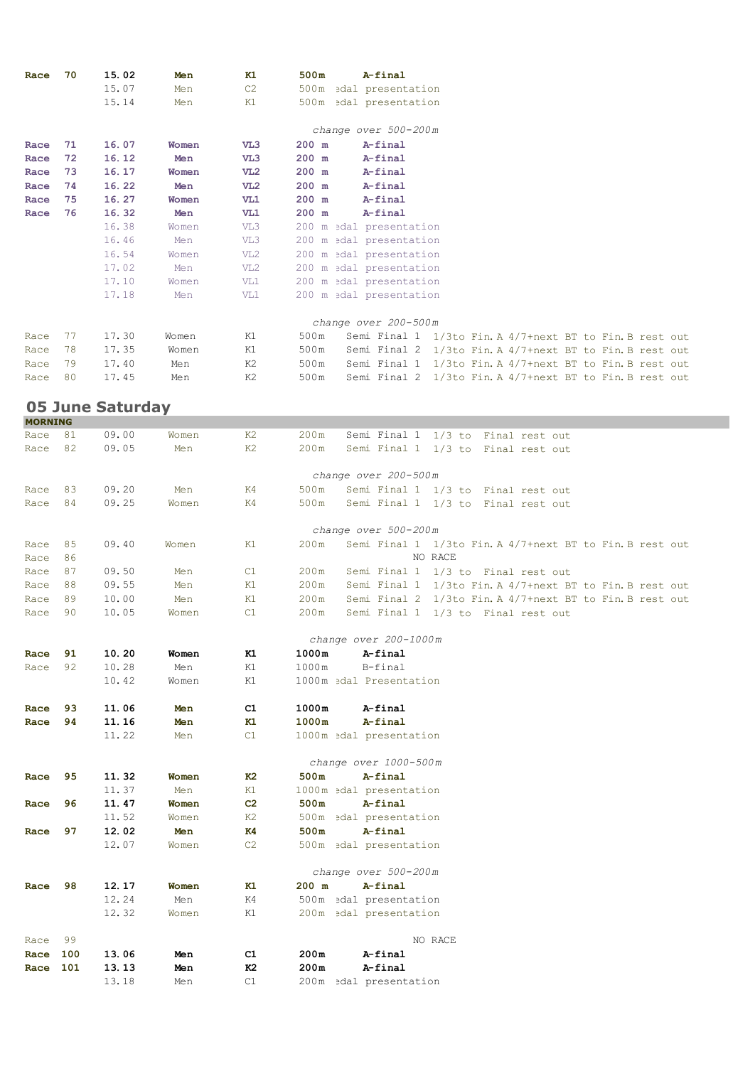| Race           | 70  | 15.02                   | Men   | K1              | 500m<br>A-final                                                  |
|----------------|-----|-------------------------|-------|-----------------|------------------------------------------------------------------|
|                |     | 15.07                   | Men   | C2              | 500m edal presentation                                           |
|                |     | 15.14                   |       | K1              | 500m edal presentation                                           |
|                |     |                         | Men   |                 |                                                                  |
|                |     |                         |       |                 |                                                                  |
|                |     |                         |       |                 | change over 500-200m                                             |
| Race           | 71  | 16.07                   | Women | VL3             | $200$ m<br>A-final                                               |
| Race           | 72  | 16.12                   | Men   | VL3             | A-final<br>200 m                                                 |
| Race           | 73  | 16.17                   | Women | VL2             | A-final<br>200 m                                                 |
| Race           | 74  | 16.22                   | Men   | VL2             | A-final<br>200 m                                                 |
| Race           | 75  | 16.27                   | Women | VL1             | $200$ m<br>A-final                                               |
| Race           | 76  | 16.32                   | Men   | VL1             | A-final<br>200 m                                                 |
|                |     | 16.38                   | Women | VL3             | 200 m edal presentation                                          |
|                |     | 16.46                   | Men   | VL3             | 200 m edal presentation                                          |
|                |     | 16.54                   | Women | VL <sub>2</sub> | 200 m edal presentation                                          |
|                |     |                         |       |                 |                                                                  |
|                |     | 17.02                   | Men   | VL <sub>2</sub> | 200 m edal presentation                                          |
|                |     | 17.10                   | Women | VL1             | 200 m edal presentation                                          |
|                |     | 17.18                   | Men   | VL1             | 200 m edal presentation                                          |
|                |     |                         |       |                 |                                                                  |
|                |     |                         |       |                 | change over 200-500m                                             |
| Race           | 77  | 17.30                   | Women | K1              | 500m<br>Semi Final 1 1/3to Fin. A 4/7+next BT to Fin. B rest out |
| Race           | 78  | 17.35                   | Women | K1              | 500m<br>Semi Final 2 1/3to Fin. A 4/7+next BT to Fin. B rest out |
| Race           | 79  | 17.40                   | Men   | K <sub>2</sub>  | 500m<br>Semi Final 1 1/3to Fin. A 4/7+next BT to Fin. B rest out |
| Race           | 80  | 17.45                   | Men   | K2              | 500m<br>Semi Final 2 1/3to Fin. A 4/7+next BT to Fin. B rest out |
|                |     |                         |       |                 |                                                                  |
|                |     | <b>05 June Saturday</b> |       |                 |                                                                  |
| <b>MORNING</b> |     |                         |       |                 |                                                                  |
| Race           | 81  | 09.00                   | Women | K2              | Semi Final 1 1/3 to Final rest out<br>200m                       |
| Race           | 82  | 09.05                   | Men   | K <sub>2</sub>  | 200m<br>Semi Final 1 1/3 to Final rest out                       |
|                |     |                         |       |                 |                                                                  |
|                |     |                         |       |                 | change over 200-500m                                             |
| Race           | 83  | 09.20                   | Men   | K4              | 500m<br>Semi Final 1 1/3 to Final rest out                       |
| Race           | 84  | 09.25                   | Women | K4              | 500m<br>Semi Final 1 1/3 to Final rest out                       |
|                |     |                         |       |                 |                                                                  |
|                |     |                         |       |                 | change over 500-200m                                             |
| Race           | 85  | 09.40                   | Women | K1              | 200m<br>Semi Final 1 1/3to Fin. A 4/7+next BT to Fin. B rest out |
|                | 86  |                         |       |                 | NO RACE                                                          |
| Race           |     |                         |       |                 |                                                                  |
| Race           | 87  | 09.50                   | Men   | C1              | 200m<br>Semi Final 1 1/3 to Final rest out                       |
| Race           | 88  | 09.55                   | Men   | K1              | 200m<br>Semi Final 1 1/3to Fin. A 4/7+next BT to Fin. B rest out |
| Race           | 89  | 10.00                   | Men   | K1              | 200m<br>Semi Final 2 1/3to Fin. A 4/7+next BT to Fin. B rest out |
| Race           | 90  | 10.05                   | Women | C1              | 200m<br>Semi Final 1 1/3 to Final rest out                       |
|                |     |                         |       |                 |                                                                  |
|                |     |                         |       |                 | change over 200-1000m                                            |
| Race           | 91  | 10.20                   | Women | к1              | A-final<br>1000m                                                 |
| Race           | 92  | 10.28                   | Men   | K1              | 1000m<br>B-final                                                 |
|                |     | 10.42                   | Women | K1              | 1000m edal Presentation                                          |
|                |     |                         |       |                 |                                                                  |
| Race           | 93  | 11.06                   | Men   | C1              | 1000m<br>A-final                                                 |
| Race           | 94  | 11.16                   | Men   | к1              | 1000m<br>A-final                                                 |
|                |     | 11.22                   | Men   | C1              | 1000m edal presentation                                          |
|                |     |                         |       |                 |                                                                  |
|                |     |                         |       |                 | change over 1000-500m                                            |
| Race           | 95  | 11.32                   | Women | к2              | 500m<br>A-final                                                  |
|                |     | 11.37                   | Men   | K1              | 1000m edal presentation                                          |
| Race           | 96  | 11.47                   | Women | C <sub>2</sub>  | A-final<br>500m                                                  |
|                |     | 11.52                   | Women | K2              | 500m edal presentation                                           |
| Race           | 97  | 12.02                   | Men   | K4              | 500m<br>A-final                                                  |
|                |     | 12.07                   | Women | C2              | 500m edal presentation                                           |
|                |     |                         |       |                 |                                                                  |
|                |     |                         |       |                 | change over 500-200m                                             |
| Race           | 98  | 12.17                   |       | K1              | $200$ m<br>A-final                                               |
|                |     |                         | Women |                 |                                                                  |
|                |     | 12.24                   | Men   | K4              | 500m edal presentation                                           |
|                |     | 12.32                   | Women | K1              | 200m edal presentation                                           |
|                |     |                         |       |                 |                                                                  |
| Race           | 99  |                         |       |                 | NO RACE                                                          |
| Race           | 100 | 13.06                   | Men   | C1              | 200m<br>A-final                                                  |
| Race 101       |     | 13.13                   | Men   | K2              | 200m<br>A-final                                                  |
|                |     | 13.18                   | Men   | C1              | 200m edal presentation                                           |